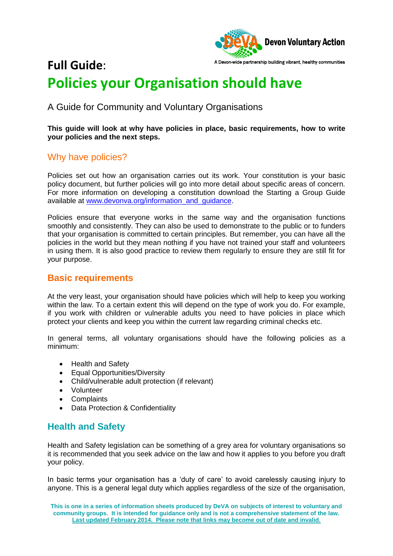

# **Full Guide**: **Policies your Organisation should have**

## A Guide for Community and Voluntary Organisations

**This guide will look at why have policies in place, basic requirements, how to write your policies and the next steps.** 

## Why have policies?

Policies set out how an organisation carries out its work. Your constitution is your basic policy document, but further policies will go into more detail about specific areas of concern. For more information on developing a constitution download the Starting a Group Guide available at [www.devonva.org/information\\_and\\_guidance.](http://www.devonva.org/information_and_guidance)

Policies ensure that everyone works in the same way and the organisation functions smoothly and consistently. They can also be used to demonstrate to the public or to funders that your organisation is committed to certain principles. But remember, you can have all the policies in the world but they mean nothing if you have not trained your staff and volunteers in using them. It is also good practice to review them regularly to ensure they are still fit for your purpose.

#### **Basic requirements**

At the very least, your organisation should have policies which will help to keep you working within the law. To a certain extent this will depend on the type of work you do. For example, if you work with children or vulnerable adults you need to have policies in place which protect your clients and keep you within the current law regarding criminal checks etc.

In general terms, all voluntary organisations should have the following policies as a minimum:

- Health and Safety
- Equal Opportunities/Diversity
- Child/vulnerable adult protection (if relevant)
- Volunteer
- Complaints
- Data Protection & Confidentiality

#### **Health and Safety**

Health and Safety legislation can be something of a grey area for voluntary organisations so it is recommended that you seek advice on the law and how it applies to you before you draft your policy.

In basic terms your organisation has a 'duty of care' to avoid carelessly causing injury to anyone. This is a general legal duty which applies regardless of the size of the organisation,

**This is one in a series of information sheets produced by DeVA on subjects of interest to voluntary and community groups. It is intended for guidance only and is not a comprehensive statement of the law. Last updated February 2014. Please note that links may become out of date and invalid.**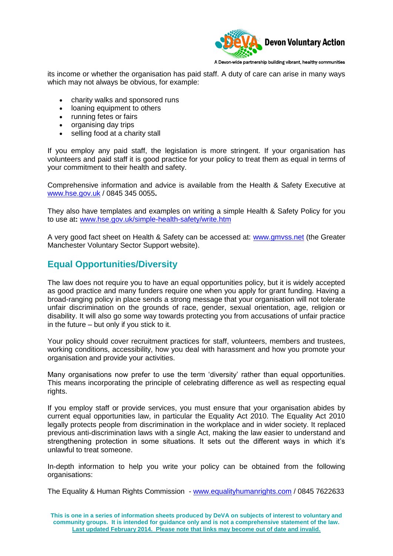

its income or whether the organisation has paid staff. A duty of care can arise in many ways which may not always be obvious, for example:

- charity walks and sponsored runs
- loaning equipment to others
- running fetes or fairs
- organising day trips
- selling food at a charity stall

If you employ any paid staff, the legislation is more stringent. If your organisation has volunteers and paid staff it is good practice for your policy to treat them as equal in terms of your commitment to their health and safety.

Comprehensive information and advice is available from the Health & Safety Executive at [www.hse.gov.uk](http://www.hse.gov.uk/) / 0845 345 0055**.** 

They also have templates and examples on writing a simple Health & Safety Policy for you to use at**:** [www.hse.gov.uk/simple-health-safety/write.htm](http://www.hse.gov.uk/simple-health-safety/write.htm) 

A very good fact sheet on Health & Safety can be accessed at: [www.gmvss.net](http://www.gmvss.net/) (the Greater Manchester Voluntary Sector Support website).

## **Equal Opportunities/Diversity**

The law does not require you to have an equal opportunities policy, but it is widely accepted as good practice and many funders require one when you apply for grant funding. Having a broad-ranging policy in place sends a strong message that your organisation will not tolerate unfair discrimination on the grounds of race, gender, sexual orientation, age, religion or disability. It will also go some way towards protecting you from accusations of unfair practice in the future – but only if you stick to it.

Your policy should cover recruitment practices for staff, volunteers, members and trustees, working conditions, accessibility, how you deal with harassment and how you promote your organisation and provide your activities.

Many organisations now prefer to use the term 'diversity' rather than equal opportunities. This means incorporating the principle of celebrating difference as well as respecting equal rights.

If you employ staff or provide services, you must ensure that your organisation abides by current equal opportunities law, in particular the Equality Act 2010. The Equality Act 2010 legally protects people from discrimination in the workplace and in wider society. It replaced previous anti-discrimination laws with a single Act, making the law easier to understand and strengthening protection in some situations. It sets out the different ways in which it's unlawful to treat someone.

In-depth information to help you write your policy can be obtained from the following organisations:

The Equality & Human Rights Commission - [www.equalityhumanrights.com](http://www.equalityhumanrights.com/) / 0845 7622633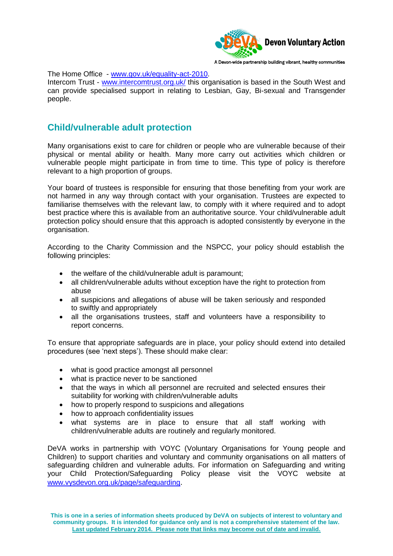

The Home Office - [www.gov.uk/equality-act-2010.](http://www.gov.uk/equality-act-2010)

Intercom Trust - [www.intercomtrust.org.uk/](http://www.intercomtrust.org.uk/) this organisation is based in the South West and can provide specialised support in relating to Lesbian, Gay, Bi-sexual and Transgender people.

### **Child/vulnerable adult protection**

Many organisations exist to care for children or people who are vulnerable because of their physical or mental ability or health. Many more carry out activities which children or vulnerable people might participate in from time to time. This type of policy is therefore relevant to a high proportion of groups.

Your board of trustees is responsible for ensuring that those benefiting from your work are not harmed in any way through contact with your organisation. Trustees are expected to familiarise themselves with the relevant law, to comply with it where required and to adopt best practice where this is available from an authoritative source. Your child/vulnerable adult protection policy should ensure that this approach is adopted consistently by everyone in the organisation.

According to the Charity Commission and the NSPCC, your policy should establish the following principles:

- the welfare of the child/vulnerable adult is paramount;
- all children/vulnerable adults without exception have the right to protection from abuse
- all suspicions and allegations of abuse will be taken seriously and responded to swiftly and appropriately
- all the organisations trustees, staff and volunteers have a responsibility to report concerns.

To ensure that appropriate safeguards are in place, your policy should extend into detailed procedures (see 'next steps'). These should make clear:

- what is good practice amongst all personnel
- what is practice never to be sanctioned
- that the ways in which all personnel are recruited and selected ensures their suitability for working with children/vulnerable adults
- how to properly respond to suspicions and allegations
- how to approach confidentiality issues
- what systems are in place to ensure that all staff working with children/vulnerable adults are routinely and regularly monitored.

DeVA works in partnership with VOYC (Voluntary Organisations for Young people and Children) to support charities and voluntary and community organisations on all matters of safeguarding children and vulnerable adults. For information on Safeguarding and writing your Child Protection/Safeguarding Policy please visit the VOYC website at [www.vysdevon.org.uk/page/safeguarding](http://www.vysdevon.org.uk/page/safeguarding).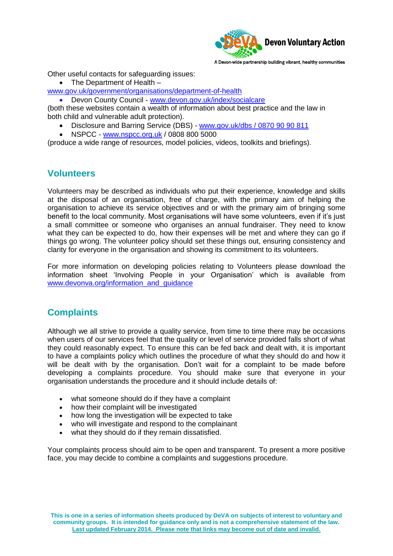

Other useful contacts for safeguarding issues:

• The Department of Health –

[www.gov.uk/government/organisations/department-of-health](http://www.gov.uk/government/organisations/department-of-health)

Devon County Council - [www.devon.gov.uk/index/socialcare](http://www.devon.gov.uk/index/socialcare)

(both these websites contain a wealth of information about best practice and the law in both child and vulnerable adult protection).

- Disclosure and Barring Service (DBS) www.gov.uk/dbs [/ 0870 90 90 811](http://www.gov.uk/dbs%20/%200870%2090%2090%20811)
- NSPCC [www.nspcc.org.uk](http://www.nspcc.org.uk/) / 0808 800 5000

(produce a wide range of resources, model policies, videos, toolkits and briefings).

#### **Volunteers**

Volunteers may be described as individuals who put their experience, knowledge and skills at the disposal of an organisation, free of charge, with the primary aim of helping the organisation to achieve its service objectives and or with the primary aim of bringing some benefit to the local community. Most organisations will have some volunteers, even if it's just a small committee or someone who organises an annual fundraiser. They need to know what they can be expected to do, how their expenses will be met and where they can go if things go wrong. The volunteer policy should set these things out, ensuring consistency and clarity for everyone in the organisation and showing its commitment to its volunteers.

For more information on developing policies relating to Volunteers please download the information sheet 'Involving People in your Organisation' which is available from [www.devonva.org/information\\_and\\_guidance](http://www.devonva.org/information_and_guidance)

# **Complaints**

Although we all strive to provide a quality service, from time to time there may be occasions when users of our services feel that the quality or level of service provided falls short of what they could reasonably expect. To ensure this can be fed back and dealt with, it is important to have a complaints policy which outlines the procedure of what they should do and how it will be dealt with by the organisation. Don't wait for a complaint to be made before developing a complaints procedure. You should make sure that everyone in your organisation understands the procedure and it should include details of:

- what someone should do if they have a complaint
- how their complaint will be investigated
- how long the investigation will be expected to take
- who will investigate and respond to the complainant
- what they should do if they remain dissatisfied.

Your complaints process should aim to be open and transparent. To present a more positive face, you may decide to combine a complaints and suggestions procedure.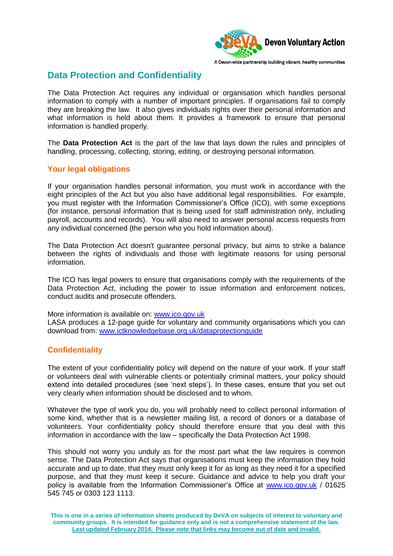

## **Data Protection and Confidentiality**

The Data Protection Act requires any individual or organisation which handles personal information to comply with a number of important principles. If organisations fail to comply they are breaking the law. It also gives individuals rights over their personal information and what information is held about them. It provides a framework to ensure that personal information is handled properly.

The **Data Protection Act** is the part of the law that lays down the rules and principles of handling, processing, collecting, storing, editing, or destroying personal information.

#### **Your legal obligations**

If your organisation handles personal information, you must work in accordance with the eight principles of the Act but you also have additional legal responsibilities. For example, you must register with the Information Commissioner's Office (ICO), with some exceptions (for instance, personal information that is being used for staff administration only, including payroll, accounts and records). You will also need to answer personal access requests from any individual concerned (the person who you hold information about).

The Data Protection Act doesn't guarantee personal privacy, but aims to strike a balance between the rights of individuals and those with legitimate reasons for using personal information.

The ICO has legal powers to ensure that organisations comply with the requirements of the Data Protection Act, including the power to issue information and enforcement notices, conduct audits and prosecute offenders.

More information is available on: [www.ico.gov.uk](http://www.ico.gov.uk/) LASA produces a 12-page guide for voluntary and community organisations which you can download from: [www.ictknowledgebase.org.uk/dataprotectionguide](http://www.ictknowledgebase.org.uk/dataprotectionguide)

#### **Confidentiality**

The extent of your confidentiality policy will depend on the nature of your work. If your staff or volunteers deal with vulnerable clients or potentially criminal matters, your policy should extend into detailed procedures (see 'next steps'). In these cases, ensure that you set out very clearly when information should be disclosed and to whom.

Whatever the type of work you do, you will probably need to collect personal information of some kind, whether that is a newsletter mailing list, a record of donors or a database of volunteers. Your confidentiality policy should therefore ensure that you deal with this information in accordance with the law – specifically the Data Protection Act 1998.

This should not worry you unduly as for the most part what the law requires is common sense. The Data Protection Act says that organisations must keep the information they hold accurate and up to date, that they must only keep it for as long as they need it for a specified purpose, and that they must keep it secure. Guidance and advice to help you draft your policy is available from the Information Commissioner's Office at [www.ico.gov.uk](http://www.ico.gov.uk/) / 01625 545 745 or 0303 123 1113.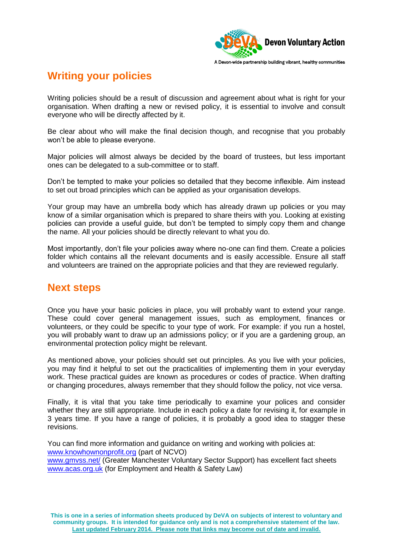

# **Writing your policies**

Writing policies should be a result of discussion and agreement about what is right for your organisation. When drafting a new or revised policy, it is essential to involve and consult everyone who will be directly affected by it.

Be clear about who will make the final decision though, and recognise that you probably won't be able to please everyone.

Major policies will almost always be decided by the board of trustees, but less important ones can be delegated to a sub-committee or to staff.

Don't be tempted to make your policies so detailed that they become inflexible. Aim instead to set out broad principles which can be applied as your organisation develops.

Your group may have an umbrella body which has already drawn up policies or you may know of a similar organisation which is prepared to share theirs with you. Looking at existing policies can provide a useful guide, but don't be tempted to simply copy them and change the name. All your policies should be directly relevant to what you do.

Most importantly, don't file your policies away where no-one can find them. Create a policies folder which contains all the relevant documents and is easily accessible. Ensure all staff and volunteers are trained on the appropriate policies and that they are reviewed regularly.

# **Next steps**

Once you have your basic policies in place, you will probably want to extend your range. These could cover general management issues, such as employment, finances or volunteers, or they could be specific to your type of work. For example: if you run a hostel, you will probably want to draw up an admissions policy; or if you are a gardening group, an environmental protection policy might be relevant.

As mentioned above, your policies should set out principles. As you live with your policies, you may find it helpful to set out the practicalities of implementing them in your everyday work. These practical guides are known as procedures or codes of practice. When drafting or changing procedures, always remember that they should follow the policy, not vice versa.

Finally, it is vital that you take time periodically to examine your polices and consider whether they are still appropriate. Include in each policy a date for revising it, for example in 3 years time. If you have a range of policies, it is probably a good idea to stagger these revisions.

You can find more information and guidance on writing and working with policies at: [www.knowhownonprofit.org](http://www.knowhownonprofit.org/) (part of NCVO) www.gmyss.net/ (Greater Manchester Voluntary Sector Support) has excellent fact sheets [www.acas.org.uk](http://www.acas.org.uk/) (for Employment and Health & Safety Law)